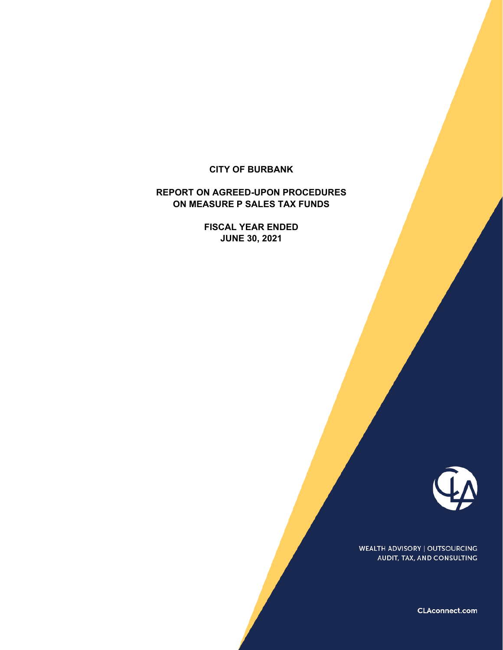### **CITY OF BURBANK**

## **REPORT ON AGREED-UPON PROCEDURES ON MEASURE P SALES TAX FUNDS**

**FISCAL YEAR ENDED JUNE 30, 2021**



WEALTH ADVISORY | OUTSOURCING AUDIT, TAX, AND CONSULTING

CLAconnect.com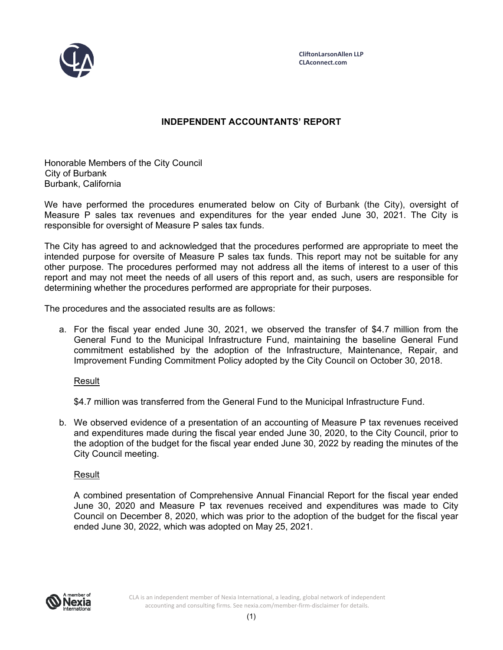

# **INDEPENDENT ACCOUNTANTS' REPORT**

Honorable Members of the City Council City of Burbank Burbank, California

We have performed the procedures enumerated below on City of Burbank (the City), oversight of Measure P sales tax revenues and expenditures for the year ended June 30, 2021. The City is responsible for oversight of Measure P sales tax funds.

The City has agreed to and acknowledged that the procedures performed are appropriate to meet the intended purpose for oversite of Measure P sales tax funds. This report may not be suitable for any other purpose. The procedures performed may not address all the items of interest to a user of this report and may not meet the needs of all users of this report and, as such, users are responsible for determining whether the procedures performed are appropriate for their purposes.

The procedures and the associated results are as follows:

a. For the fiscal year ended June 30, 2021, we observed the transfer of \$4.7 million from the General Fund to the Municipal Infrastructure Fund, maintaining the baseline General Fund commitment established by the adoption of the Infrastructure, Maintenance, Repair, and Improvement Funding Commitment Policy adopted by the City Council on October 30, 2018.

Result

\$4.7 million was transferred from the General Fund to the Municipal Infrastructure Fund.

b. We observed evidence of a presentation of an accounting of Measure P tax revenues received and expenditures made during the fiscal year ended June 30, 2020, to the City Council, prior to the adoption of the budget for the fiscal year ended June 30, 2022 by reading the minutes of the City Council meeting.

### Result

A combined presentation of Comprehensive Annual Financial Report for the fiscal year ended June 30, 2020 and Measure P tax revenues received and expenditures was made to City Council on December 8, 2020, which was prior to the adoption of the budget for the fiscal year ended June 30, 2022, which was adopted on May 25, 2021.

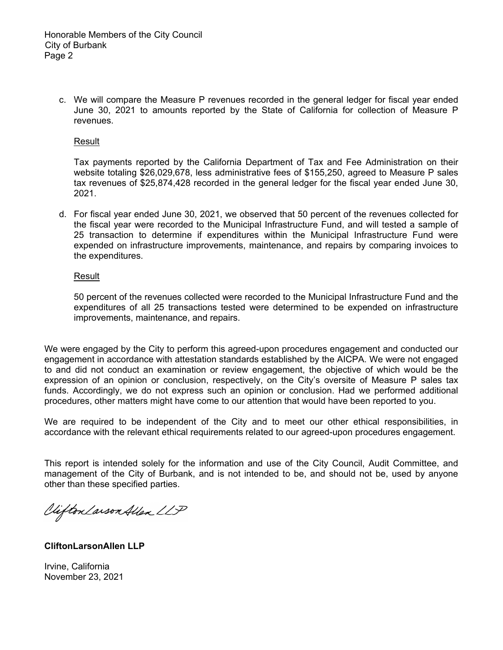c. We will compare the Measure P revenues recorded in the general ledger for fiscal year ended June 30, 2021 to amounts reported by the State of California for collection of Measure P revenues.

#### Result

Tax payments reported by the California Department of Tax and Fee Administration on their website totaling \$26,029,678, less administrative fees of \$155,250, agreed to Measure P sales tax revenues of \$25,874,428 recorded in the general ledger for the fiscal year ended June 30, 2021.

d. For fiscal year ended June 30, 2021, we observed that 50 percent of the revenues collected for the fiscal year were recorded to the Municipal Infrastructure Fund, and will tested a sample of 25 transaction to determine if expenditures within the Municipal Infrastructure Fund were expended on infrastructure improvements, maintenance, and repairs by comparing invoices to the expenditures.

#### **Result**

50 percent of the revenues collected were recorded to the Municipal Infrastructure Fund and the expenditures of all 25 transactions tested were determined to be expended on infrastructure improvements, maintenance, and repairs.

We were engaged by the City to perform this agreed-upon procedures engagement and conducted our engagement in accordance with attestation standards established by the AICPA. We were not engaged to and did not conduct an examination or review engagement, the objective of which would be the expression of an opinion or conclusion, respectively, on the City's oversite of Measure P sales tax funds. Accordingly, we do not express such an opinion or conclusion. Had we performed additional procedures, other matters might have come to our attention that would have been reported to you.

We are required to be independent of the City and to meet our other ethical responsibilities, in accordance with the relevant ethical requirements related to our agreed-upon procedures engagement.

This report is intended solely for the information and use of the City Council, Audit Committee, and management of the City of Burbank, and is not intended to be, and should not be, used by anyone other than these specified parties.

Viifton Larson Allen LLP

### **CliftonLarsonAllen LLP**

Irvine, California November 23, 2021